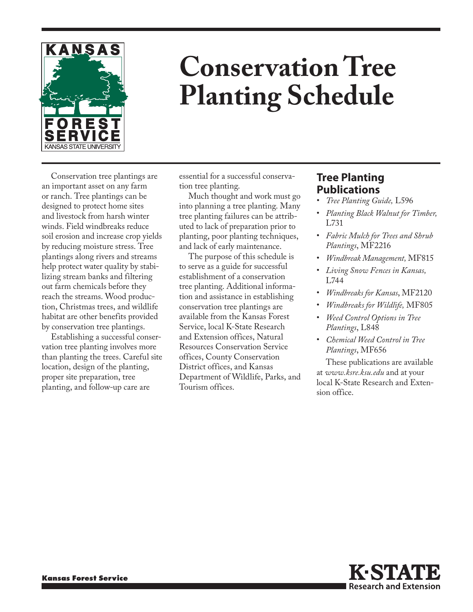

## **Conservation Tree Planting Schedule**

Conservation tree plantings are an important asset on any farm or ranch. Tree plantings can be designed to protect home sites and livestock from harsh winter winds. Field windbreaks reduce soil erosion and increase crop yields by reducing moisture stress. Tree plantings along rivers and streams help protect water quality by stabilizing stream banks and filtering out farm chemicals before they reach the streams. Wood production, Christmas trees, and wildlife habitat are other benefits provided by conservation tree plantings.

Establishing a successful conservation tree planting involves more than planting the trees. Careful site location, design of the planting, proper site preparation, tree planting, and follow-up care are

essential for a successful conservation tree planting.

Much thought and work must go into planning a tree planting. Many tree planting failures can be attributed to lack of preparation prior to planting, poor planting techniques, and lack of early maintenance.

The purpose of this schedule is to serve as a guide for successful establishment of a conservation tree planting. Additional information and assistance in establishing conservation tree plantings are available from the Kansas Forest Service, local K-State Research and Extension offices, Natural Resources Conservation Service offices, County Conservation District offices, and Kansas Department of Wildlife, Parks, and Tourism offices.

## **Tree Planting Publications**

- *Tree Planting Guide,* L596
- *Planting Black Walnut for Timber,* L731
- *Fabric Mulch for Trees and Shrub Plantings*, MF2216
- *Windbreak Management,* MF815
- *Living Snow Fences in Kansas,*  L744
- *Windbreaks for Kansas*, MF2120
- *Windbreaks for Wildlife,* MF805
- *Weed Control Options in Tree Plantings*, L848
- *Chemical Weed Control in Tree Plantings*, MF656

These publications are available at *www.ksre.ksu.edu* and at your local K-State Research and Extension office.